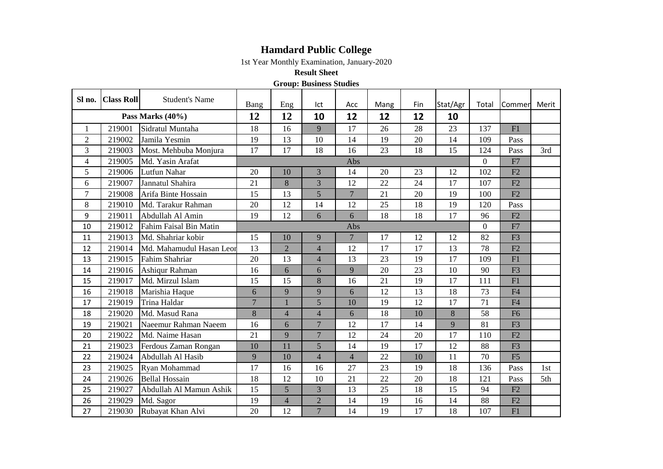## **Hamdard Public College**

1st Year Monthly Examination, January-2020

**Result Sheet**

**Group: Business Studies**

| Sl no.              | <b>Class Roll</b> | <b>Student's Name</b>    | Bang           | Eng             | Ict                     | Acc            | Mang | Fin | Stat/Agr       | Total | Commer         | Merit |
|---------------------|-------------------|--------------------------|----------------|-----------------|-------------------------|----------------|------|-----|----------------|-------|----------------|-------|
| Pass Marks $(40\%)$ |                   | 12                       | 12             | 10              | 12                      | 12             | 12   | 10  |                |       |                |       |
| $\mathbf{1}$        | 219001            | Sidratul Muntaha         | 18             | 16              | 9                       | 17             | 26   | 28  | 23             | 137   | F1             |       |
| $\overline{2}$      | 219002            | Jamila Yesmin            | 19             | 13              | 10                      | 14             | 19   | 20  | 14             | 109   | Pass           |       |
| 3                   | 219003            | Most. Mehbuba Monjura    | 17             | 17              | 18                      | 16             | 23   | 18  | 15             | 124   | Pass           | 3rd   |
| $\overline{4}$      | 219005            | Md. Yasin Arafat         | Abs            |                 |                         |                |      |     | $\overline{0}$ | F7    |                |       |
| 5                   | 219006            | Lutfun Nahar             | 20             | 10              | $\overline{3}$          | 14             | 20   | 23  | 12             | 102   | F2             |       |
| 6                   | 219007            | Jannatul Shahira         | 21             | 8               | $\overline{3}$          | 12             | 22   | 24  | 17             | 107   | F2             |       |
| $\overline{7}$      | 219008            | Arifa Binte Hossain      | 15             | 13              | 5                       | $\overline{7}$ | 21   | 20  | 19             | 100   | F2             |       |
| $\,8\,$             | 219010            | Md. Tarakur Rahman       | 20             | 12              | 14                      | 12             | 25   | 18  | 19             | 120   | Pass           |       |
| 9                   | 219011            | Abdullah Al Amin         | 19             | 12              | 6                       | 6              | 18   | 18  | 17             | 96    | F2             |       |
| 10                  | 219012            | Fahim Faisal Bin Matin   | Abs            |                 |                         |                |      |     | $\Omega$       | F7    |                |       |
| 11                  | 219013            | Md. Shahriar kobir       | 15             | 10              | 9                       | $\overline{7}$ | 17   | 12  | 12             | 82    | F <sub>3</sub> |       |
| 12                  | 219014            | Md. Mahamudul Hasan Leor | 13             | $\overline{2}$  | $\overline{4}$          | 12             | 17   | 17  | 13             | 78    | F2             |       |
| 13                  | 219015            | Fahim Shahriar           | 20             | 13              | $\overline{4}$          | 13             | 23   | 19  | 17             | 109   | F1             |       |
| 14                  | 219016            | Ashiqur Rahman           | 16             | 6               | 6                       | 9              | 20   | 23  | 10             | 90    | F <sub>3</sub> |       |
| 15                  | 219017            | Md. Mirzul Islam         | 15             | 15              | 8                       | 16             | 21   | 19  | 17             | 111   | F1             |       |
| 16                  | 219018            | Marishia Haque           | 6              | 9               | 9                       | 6              | 12   | 13  | 18             | 73    | F <sub>4</sub> |       |
| 17                  | 219019            | Trina Haldar             | $\overline{7}$ | $\mathbf{1}$    | $\overline{5}$          | 10             | 19   | 12  | 17             | 71    | F <sub>4</sub> |       |
| 18                  | 219020            | Md. Masud Rana           | 8              | $\overline{4}$  | $\overline{4}$          | 6              | 18   | 10  | 8              | 58    | F <sub>6</sub> |       |
| 19                  | 219021            | Naeemur Rahman Naeem     | 16             | 6               | $\overline{7}$          | 12             | 17   | 14  | 9              | 81    | F <sub>3</sub> |       |
| 20                  | 219022            | Md. Naime Hasan          | 21             | 9               | $\overline{7}$          | 12             | 24   | 20  | 17             | 110   | F2             |       |
| 21                  | 219023            | Ferdous Zaman Rongan     | 10             | 11              | $\overline{5}$          | 14             | 19   | 17  | 12             | 88    | F <sub>3</sub> |       |
| 22                  | 219024            | Abdullah Al Hasib        | 9              | 10              | $\overline{\mathbf{4}}$ | $\overline{4}$ | 22   | 10  | 11             | 70    | F5             |       |
| 23                  | 219025            | Ryan Mohammad            | 17             | 16              | 16                      | 27             | 23   | 19  | 18             | 136   | Pass           | 1st   |
| 24                  | 219026            | <b>Bellal Hossain</b>    | 18             | 12              | 10                      | 21             | 22   | 20  | 18             | 121   | Pass           | 5th   |
| 25                  | 219027            | Abdullah Al Mamun Ashik  | 15             | $5\overline{)}$ | 3                       | 13             | 25   | 18  | 15             | 94    | F2             |       |
| 26                  | 219029            | Md. Sagor                | 19             | $\overline{4}$  | $\overline{2}$          | 14             | 19   | 16  | 14             | 88    | F2             |       |
| 27                  | 219030            | Rubayat Khan Alvi        | 20             | 12              | $\overline{7}$          | 14             | 19   | 17  | 18             | 107   | F1             |       |